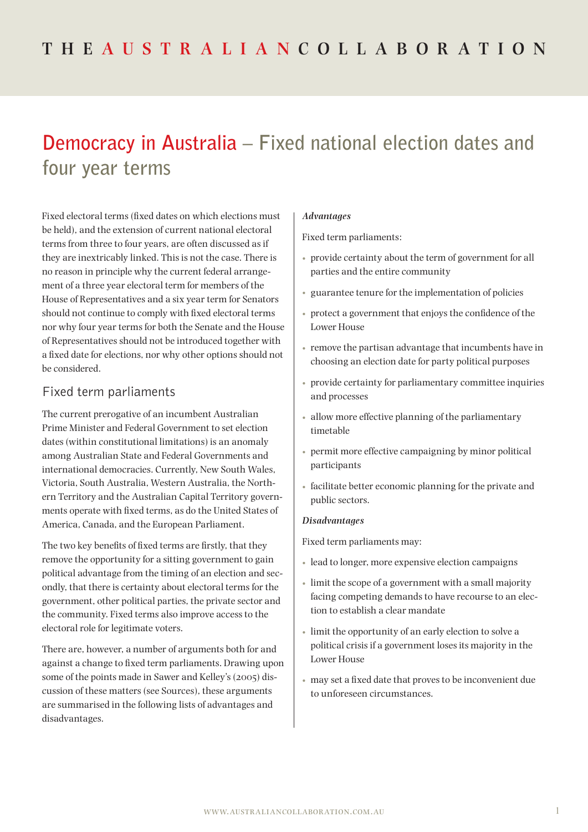# **Democracy in Australia – Fixed national election dates and four year terms**

Fixed electoral terms (fixed dates on which elections must be held), and the extension of current national electoral terms from three to four years, are often discussed as if they are inextricably linked. This is not the case. There is no reason in principle why the current federal arrangement of a three year electoral term for members of the House of Representatives and a six year term for Senators should not continue to comply with fixed electoral terms nor why four year terms for both the Senate and the House of Representatives should not be introduced together with a fixed date for elections, nor why other options should not be considered.

# Fixed term parliaments

The current prerogative of an incumbent Australian Prime Minister and Federal Government to set election dates (within constitutional limitations) is an anomaly among Australian State and Federal Governments and international democracies. Currently, New South Wales, Victoria, South Australia, Western Australia, the Northern Territory and the Australian Capital Territory governments operate with fixed terms, as do the United States of America, Canada, and the European Parliament.

The two key benefits of fixed terms are firstly, that they remove the opportunity for a sitting government to gain political advantage from the timing of an election and secondly, that there is certainty about electoral terms for the government, other political parties, the private sector and the community. Fixed terms also improve access to the electoral role for legitimate voters.

There are, however, a number of arguments both for and against a change to fixed term parliaments. Drawing upon some of the points made in Sawer and Kelley's (2005) discussion of these matters (see Sources), these arguments are summarised in the following lists of advantages and disadvantages.

## *Advantages*

Fixed term parliaments:

- provide certainty about the term of government for all parties and the entire community
- guarantee tenure for the implementation of policies
- protect a government that enjoys the confidence of the Lower House
- remove the partisan advantage that incumbents have in choosing an election date for party political purposes
- provide certainty for parliamentary committee inquiries and processes
- allow more effective planning of the parliamentary timetable
- permit more effective campaigning by minor political participants
- facilitate better economic planning for the private and public sectors.

### *Disadvantages*

Fixed term parliaments may:

- lead to longer, more expensive election campaigns
- limit the scope of a government with a small majority facing competing demands to have recourse to an election to establish a clear mandate
- limit the opportunity of an early election to solve a political crisis if a government loses its majority in the Lower House
- may set a fixed date that proves to be inconvenient due to unforeseen circumstances.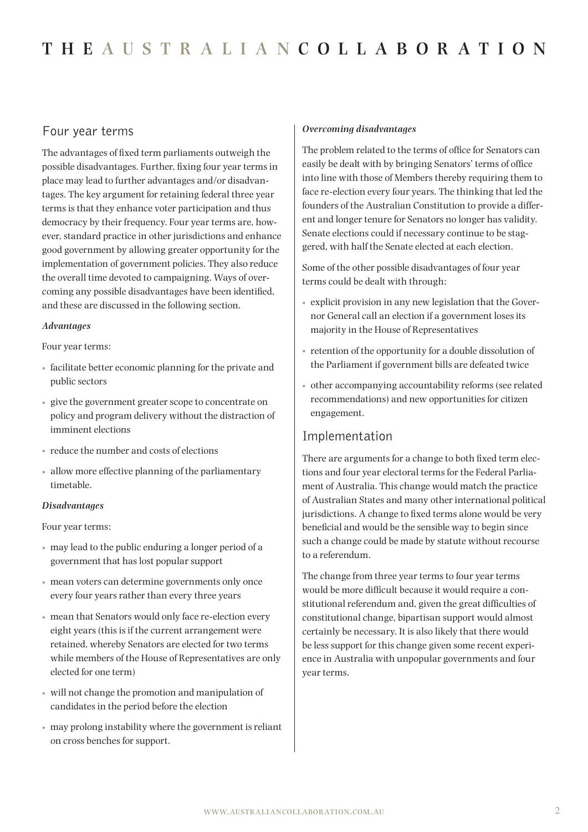## Four year terms

The advantages of fixed term parliaments outweigh the possible disadvantages. Further, fixing four year terms in place may lead to further advantages and/or disadvantages. The key argument for retaining federal three year terms is that they enhance voter participation and thus democracy by their frequency. Four year terms are, however, standard practice in other jurisdictions and enhance good government by allowing greater opportunity for the implementation of government policies. They also reduce the overall time devoted to campaigning. Ways of overcoming any possible disadvantages have been identified, and these are discussed in the following section.

#### *Advantages*

Four year terms:

- facilitate better economic planning for the private and public sectors
- give the government greater scope to concentrate on policy and program delivery without the distraction of imminent elections
- reduce the number and costs of elections
- allow more effective planning of the parliamentary timetable.

## *Disadvantages*

Four year terms:

- may lead to the public enduring a longer period of a government that has lost popular support
- mean voters can determine governments only once every four years rather than every three years
- mean that Senators would only face re-election every eight years (this is if the current arrangement were retained, whereby Senators are elected for two terms while members of the House of Representatives are only elected for one term)
- will not change the promotion and manipulation of candidates in the period before the election
- may prolong instability where the government is reliant on cross benches for support.

#### *Overcoming disadvantages*

The problem related to the terms of office for Senators can easily be dealt with by bringing Senators' terms of office into line with those of Members thereby requiring them to face re-election every four years. The thinking that led the founders of the Australian Constitution to provide a different and longer tenure for Senators no longer has validity. Senate elections could if necessary continue to be staggered, with half the Senate elected at each election.

Some of the other possible disadvantages of four year terms could be dealt with through:

- explicit provision in any new legislation that the Governor General call an election if a government loses its majority in the House of Representatives
- retention of the opportunity for a double dissolution of the Parliament if government bills are defeated twice
- other accompanying accountability reforms (see related recommendations) and new opportunities for citizen engagement.

# Implementation

There are arguments for a change to both fixed term elections and four year electoral terms for the Federal Parliament of Australia. This change would match the practice of Australian States and many other international political jurisdictions. A change to fixed terms alone would be very beneficial and would be the sensible way to begin since such a change could be made by statute without recourse to a referendum.

The change from three year terms to four year terms would be more difficult because it would require a constitutional referendum and, given the great difficulties of constitutional change, bipartisan support would almost certainly be necessary. It is also likely that there would be less support for this change given some recent experience in Australia with unpopular governments and four year terms.